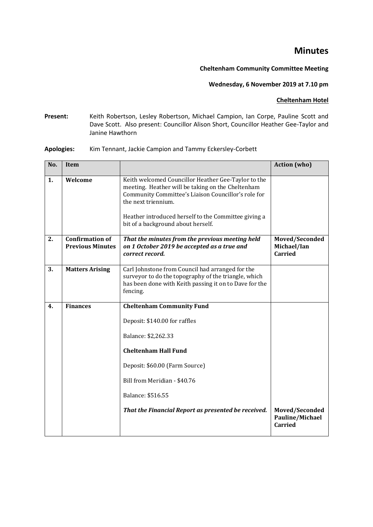# **Minutes**

## **Cheltenham Community Committee Meeting**

# **Wednesday, 6 November 2019 at 7.10 pm**

#### **Cheltenham Hotel**

**Present:** Keith Robertson, Lesley Robertson, Michael Campion, Ian Corpe, Pauline Scott and Dave Scott. Also present: Councillor Alison Short, Councillor Heather Gee-Taylor and Janine Hawthorn

## **Apologies:** Kim Tennant, Jackie Campion and Tammy Eckersley-Corbett

| No. | <b>Item</b>                                       |                                                                                                                                                                                                                                                | <b>Action</b> (who)                             |
|-----|---------------------------------------------------|------------------------------------------------------------------------------------------------------------------------------------------------------------------------------------------------------------------------------------------------|-------------------------------------------------|
| 1.  | Welcome                                           | Keith welcomed Councillor Heather Gee-Taylor to the<br>meeting. Heather will be taking on the Cheltenham<br>Community Committee's Liaison Councillor's role for<br>the next triennium.<br>Heather introduced herself to the Committee giving a |                                                 |
|     |                                                   | bit of a background about herself.                                                                                                                                                                                                             |                                                 |
| 2.  | <b>Confirmation of</b><br><b>Previous Minutes</b> | That the minutes from the previous meeting held<br>on 1 October 2019 be accepted as a true and<br>correct record.                                                                                                                              | Moved/Seconded<br>Michael/Ian<br><b>Carried</b> |
| 3.  | <b>Matters Arising</b>                            | Carl Johnstone from Council had arranged for the<br>surveyor to do the topography of the triangle, which<br>has been done with Keith passing it on to Dave for the<br>fencing.                                                                 |                                                 |
| 4.  | <b>Finances</b>                                   | <b>Cheltenham Community Fund</b>                                                                                                                                                                                                               |                                                 |
|     |                                                   | Deposit: \$140.00 for raffles                                                                                                                                                                                                                  |                                                 |
|     |                                                   | Balance: \$2,262.33                                                                                                                                                                                                                            |                                                 |
|     |                                                   | <b>Cheltenham Hall Fund</b>                                                                                                                                                                                                                    |                                                 |
|     |                                                   | Deposit: \$60.00 (Farm Source)                                                                                                                                                                                                                 |                                                 |
|     |                                                   | Bill from Meridian - \$40.76                                                                                                                                                                                                                   |                                                 |
|     |                                                   | Balance: \$516.55                                                                                                                                                                                                                              |                                                 |
|     |                                                   | That the Financial Report as presented be received.                                                                                                                                                                                            | Moved/Seconded<br>Pauline/Michael<br>Carried    |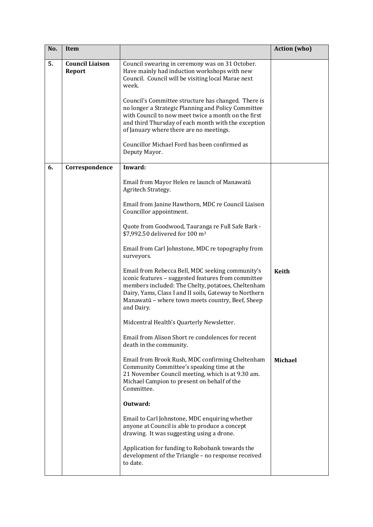| No. | <b>Item</b>                      |                                                                                                                                                                                                                                                                                           | <b>Action</b> (who) |
|-----|----------------------------------|-------------------------------------------------------------------------------------------------------------------------------------------------------------------------------------------------------------------------------------------------------------------------------------------|---------------------|
| 5.  | <b>Council Liaison</b><br>Report | Council swearing in ceremony was on 31 October.<br>Have mainly had induction workshops with new<br>Council. Council will be visiting local Marae next<br>week.                                                                                                                            |                     |
|     |                                  | Council's Committee structure has changed. There is<br>no longer a Strategic Planning and Policy Committee<br>with Council to now meet twice a month on the first<br>and third Thursday of each month with the exception<br>of January where there are no meetings.                       |                     |
|     |                                  | Councillor Michael Ford has been confirmed as<br>Deputy Mayor.                                                                                                                                                                                                                            |                     |
| 6.  | Correspondence                   | Inward:                                                                                                                                                                                                                                                                                   |                     |
|     |                                  | Email from Mayor Helen re launch of Manawatū<br>Agritech Strategy.                                                                                                                                                                                                                        |                     |
|     |                                  | Email from Janine Hawthorn, MDC re Council Liaison<br>Councillor appointment.                                                                                                                                                                                                             |                     |
|     |                                  | Quote from Goodwood, Tauranga re Full Safe Bark -<br>\$7,992.50 delivered for 100 m <sup>3</sup>                                                                                                                                                                                          |                     |
|     |                                  | Email from Carl Johnstone, MDC re topography from<br>surveyors.                                                                                                                                                                                                                           |                     |
|     |                                  | Email from Rebecca Bell, MDC seeking community's<br>iconic features - suggested features from committee<br>members included: The Chelty, potatoes, Cheltenham<br>Dairy, Yams, Class I and II soils, Gateway to Northern<br>Manawatū - where town meets country, Beef, Sheep<br>and Dairy. | <b>Keith</b>        |
|     |                                  | Midcentral Health's Quarterly Newsletter.                                                                                                                                                                                                                                                 |                     |
|     |                                  | Email from Alison Short re condolences for recent<br>death in the community.                                                                                                                                                                                                              |                     |
|     |                                  | Email from Brook Rush, MDC confirming Cheltenham<br>Community Committee's speaking time at the<br>21 November Council meeting, which is at 9.30 am.<br>Michael Campion to present on behalf of the<br>Committee.                                                                          | <b>Michael</b>      |
|     |                                  | Outward:                                                                                                                                                                                                                                                                                  |                     |
|     |                                  | Email to Carl Johnstone, MDC enquiring whether<br>anyone at Council is able to produce a concept<br>drawing. It was suggesting using a drone.                                                                                                                                             |                     |
|     |                                  | Application for funding to Robobank towards the<br>development of the Triangle - no response received<br>to date.                                                                                                                                                                         |                     |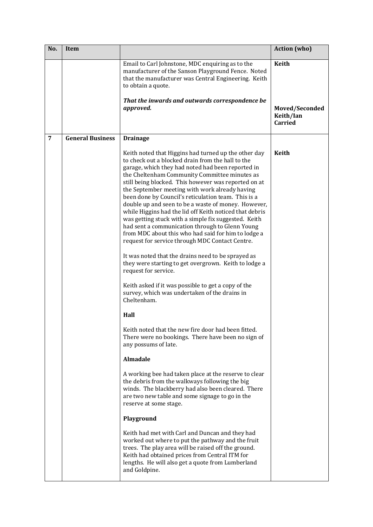| No.            | Item                    |                                                                                                                                                                                                                                                                                                                                                                                                                                                                                                                                                                                                                                                                                                                                                                                                                                                                                                                       | <b>Action</b> (who)                           |
|----------------|-------------------------|-----------------------------------------------------------------------------------------------------------------------------------------------------------------------------------------------------------------------------------------------------------------------------------------------------------------------------------------------------------------------------------------------------------------------------------------------------------------------------------------------------------------------------------------------------------------------------------------------------------------------------------------------------------------------------------------------------------------------------------------------------------------------------------------------------------------------------------------------------------------------------------------------------------------------|-----------------------------------------------|
|                |                         | Email to Carl Johnstone, MDC enquiring as to the<br>manufacturer of the Sanson Playground Fence. Noted<br>that the manufacturer was Central Engineering. Keith<br>to obtain a quote.                                                                                                                                                                                                                                                                                                                                                                                                                                                                                                                                                                                                                                                                                                                                  | <b>Keith</b>                                  |
|                |                         | That the inwards and outwards correspondence be<br>approved.                                                                                                                                                                                                                                                                                                                                                                                                                                                                                                                                                                                                                                                                                                                                                                                                                                                          | Moved/Seconded<br>Keith/Ian<br><b>Carried</b> |
| $\overline{7}$ | <b>General Business</b> | <b>Drainage</b>                                                                                                                                                                                                                                                                                                                                                                                                                                                                                                                                                                                                                                                                                                                                                                                                                                                                                                       |                                               |
|                |                         | Keith noted that Higgins had turned up the other day<br>to check out a blocked drain from the hall to the<br>garage, which they had noted had been reported in<br>the Cheltenham Community Committee minutes as<br>still being blocked. This however was reported on at<br>the September meeting with work already having<br>been done by Council's reticulation team. This is a<br>double up and seen to be a waste of money. However,<br>while Higgins had the lid off Keith noticed that debris<br>was getting stuck with a simple fix suggested. Keith<br>had sent a communication through to Glenn Young<br>from MDC about this who had said for him to lodge a<br>request for service through MDC Contact Centre.<br>It was noted that the drains need to be sprayed as<br>they were starting to get overgrown. Keith to lodge a<br>request for service.<br>Keith asked if it was possible to get a copy of the | <b>Keith</b>                                  |
|                |                         | survey, which was undertaken of the drains in<br>Cheltenham.<br>Hall                                                                                                                                                                                                                                                                                                                                                                                                                                                                                                                                                                                                                                                                                                                                                                                                                                                  |                                               |
|                |                         |                                                                                                                                                                                                                                                                                                                                                                                                                                                                                                                                                                                                                                                                                                                                                                                                                                                                                                                       |                                               |
|                |                         | Keith noted that the new fire door had been fitted.<br>There were no bookings. There have been no sign of<br>any possums of late.                                                                                                                                                                                                                                                                                                                                                                                                                                                                                                                                                                                                                                                                                                                                                                                     |                                               |
|                |                         | <b>Almadale</b>                                                                                                                                                                                                                                                                                                                                                                                                                                                                                                                                                                                                                                                                                                                                                                                                                                                                                                       |                                               |
|                |                         | A working bee had taken place at the reserve to clear<br>the debris from the walkways following the big<br>winds. The blackberry had also been cleared. There<br>are two new table and some signage to go in the<br>reserve at some stage.                                                                                                                                                                                                                                                                                                                                                                                                                                                                                                                                                                                                                                                                            |                                               |
|                |                         | Playground                                                                                                                                                                                                                                                                                                                                                                                                                                                                                                                                                                                                                                                                                                                                                                                                                                                                                                            |                                               |
|                |                         | Keith had met with Carl and Duncan and they had<br>worked out where to put the pathway and the fruit<br>trees. The play area will be raised off the ground.<br>Keith had obtained prices from Central ITM for<br>lengths. He will also get a quote from Lumberland<br>and Goldpine.                                                                                                                                                                                                                                                                                                                                                                                                                                                                                                                                                                                                                                   |                                               |